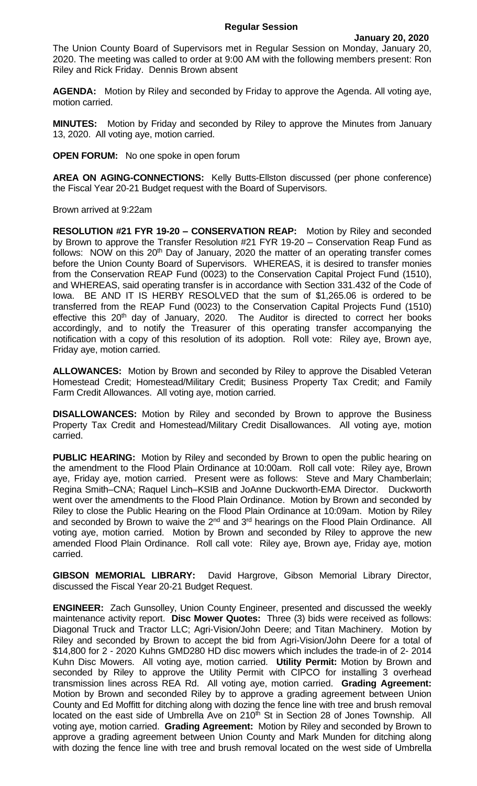The Union County Board of Supervisors met in Regular Session on Monday, January 20, 2020. The meeting was called to order at 9:00 AM with the following members present: Ron Riley and Rick Friday. Dennis Brown absent

**AGENDA:** Motion by Riley and seconded by Friday to approve the Agenda. All voting aye, motion carried.

**MINUTES:** Motion by Friday and seconded by Riley to approve the Minutes from January 13, 2020. All voting aye, motion carried.

**OPEN FORUM:** No one spoke in open forum

**AREA ON AGING-CONNECTIONS:** Kelly Butts-Ellston discussed (per phone conference) the Fiscal Year 20-21 Budget request with the Board of Supervisors.

Brown arrived at 9:22am

**RESOLUTION #21 FYR 19-20 – CONSERVATION REAP:** Motion by Riley and seconded by Brown to approve the Transfer Resolution #21 FYR 19-20 – Conservation Reap Fund as follows: NOW on this 20<sup>th</sup> Day of January, 2020 the matter of an operating transfer comes before the Union County Board of Supervisors. WHEREAS, it is desired to transfer monies from the Conservation REAP Fund (0023) to the Conservation Capital Project Fund (1510), and WHEREAS, said operating transfer is in accordance with Section 331.432 of the Code of Iowa. BE AND IT IS HERBY RESOLVED that the sum of \$1,265.06 is ordered to be transferred from the REAP Fund (0023) to the Conservation Capital Projects Fund (1510) effective this  $20<sup>th</sup>$  day of January, 2020. The Auditor is directed to correct her books accordingly, and to notify the Treasurer of this operating transfer accompanying the notification with a copy of this resolution of its adoption. Roll vote: Riley aye, Brown aye, Friday aye, motion carried.

**ALLOWANCES:** Motion by Brown and seconded by Riley to approve the Disabled Veteran Homestead Credit; Homestead/Military Credit; Business Property Tax Credit; and Family Farm Credit Allowances. All voting aye, motion carried.

**DISALLOWANCES:** Motion by Riley and seconded by Brown to approve the Business Property Tax Credit and Homestead/Military Credit Disallowances. All voting aye, motion carried.

**PUBLIC HEARING:** Motion by Riley and seconded by Brown to open the public hearing on the amendment to the Flood Plain Ordinance at 10:00am. Roll call vote: Riley aye, Brown aye, Friday aye, motion carried. Present were as follows: Steve and Mary Chamberlain; Regina Smith–CNA; Raquel Linch–KSIB and JoAnne Duckworth-EMA Director. Duckworth went over the amendments to the Flood Plain Ordinance. Motion by Brown and seconded by Riley to close the Public Hearing on the Flood Plain Ordinance at 10:09am. Motion by Riley and seconded by Brown to waive the 2<sup>nd</sup> and 3<sup>rd</sup> hearings on the Flood Plain Ordinance. All voting aye, motion carried. Motion by Brown and seconded by Riley to approve the new amended Flood Plain Ordinance. Roll call vote: Riley aye, Brown aye, Friday aye, motion carried.

**GIBSON MEMORIAL LIBRARY:** David Hargrove, Gibson Memorial Library Director, discussed the Fiscal Year 20-21 Budget Request.

**ENGINEER:** Zach Gunsolley, Union County Engineer, presented and discussed the weekly maintenance activity report. **Disc Mower Quotes:** Three (3) bids were received as follows: Diagonal Truck and Tractor LLC; Agri-Vision/John Deere; and Titan Machinery. Motion by Riley and seconded by Brown to accept the bid from Agri-Vision/John Deere for a total of \$14,800 for 2 - 2020 Kuhns GMD280 HD disc mowers which includes the trade-in of 2- 2014 Kuhn Disc Mowers. All voting aye, motion carried. **Utility Permit:** Motion by Brown and seconded by Riley to approve the Utility Permit with CIPCO for installing 3 overhead transmission lines across REA Rd. All voting aye, motion carried. **Grading Agreement:**  Motion by Brown and seconded Riley by to approve a grading agreement between Union County and Ed Moffitt for ditching along with dozing the fence line with tree and brush removal located on the east side of Umbrella Ave on 210<sup>th</sup> St in Section 28 of Jones Township. All voting aye, motion carried. **Grading Agreement:** Motion by Riley and seconded by Brown to approve a grading agreement between Union County and Mark Munden for ditching along with dozing the fence line with tree and brush removal located on the west side of Umbrella